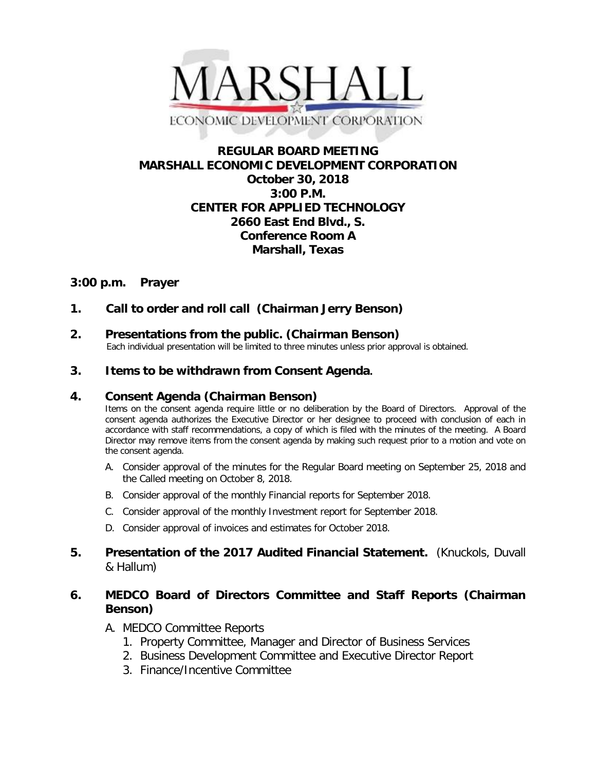

# **REGULAR BOARD MEETING MARSHALL ECONOMIC DEVELOPMENT CORPORATION October 30, 2018 3:00 P.M. CENTER FOR APPLIED TECHNOLOGY 2660 East End Blvd., S. Conference Room A Marshall, Texas**

# **3:00 p.m. Prayer**

# **1. Call to order and roll call (Chairman Jerry Benson)**

**2. Presentations from the public. (Chairman Benson)**<br>Each individual presentation will be limited to three minutes unless prior approval is obtained.

### **3. Items to be withdrawn from Consent Agenda.**

### **4. Consent Agenda (Chairman Benson)**

Items on the consent agenda require little or no deliberation by the Board of Directors. Approval of the consent agenda authorizes the Executive Director or her designee to proceed with conclusion of each in accordance with staff recommendations, a copy of which is filed with the minutes of the meeting. A Board Director may remove items from the consent agenda by making such request prior to a motion and vote on the consent agenda.

- A. Consider approval of the minutes for the Regular Board meeting on September 25, 2018 and the Called meeting on October 8, 2018.
- B. Consider approval of the monthly Financial reports for September 2018.
- C. Consider approval of the monthly Investment report for September 2018.
- D. Consider approval of invoices and estimates for October 2018.

## **5. Presentation of the 2017 Audited Financial Statement.** (Knuckols, Duvall & Hallum)

## **6. MEDCO Board of Directors Committee and Staff Reports (Chairman Benson)**

- A. MEDCO Committee Reports
	- 1. Property Committee, Manager and Director of Business Services
	- 2. Business Development Committee and Executive Director Report
	- 3. Finance/Incentive Committee